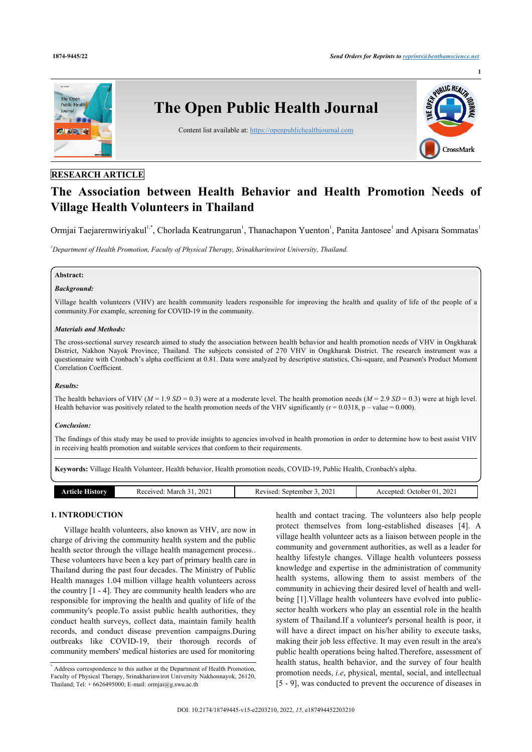

# **RESEARCH ARTICLE**

# **The Association between Health Behavior and Health Promotion Needs of Village Health Volunteers in Thailand**

Ormjai Taejarernwiriyakul<sup>[1](#page-0-0)[,\\*](#page-0-1)</sup>, Chorlada Keatrungarun<sup>1</sup>, Thanachapon Yuenton<sup>1</sup>, Panita Jantosee<sup>1</sup> and Apisara Sommatas<sup>1</sup>

<span id="page-0-0"></span>*<sup>1</sup>Department of Health Promotion, Faculty of Physical Therapy, Srinakharinwirot University, Thailand.*

# **Abstract:**

# *Background:*

Village health volunteers (VHV) are health community leaders responsible for improving the health and quality of life of the people of a community.For example, screening for COVID-19 in the community.

# *Materials and Methods:*

The cross-sectional survey research aimed to study the association between health behavior and health promotion needs of VHV in Ongkharak District, Nakhon Nayok Province, Thailand. The subjects consisted of 270 VHV in Ongkharak District. The research instrument was a questionnaire with Cronbach's alpha coefficient at 0.81. Data were analyzed by descriptive statistics, Chi-square, and Pearson's Product Moment Correlation Coefficient.

### *Results:*

The health behaviors of VHV ( $M = 1.9$  SD = 0.3) were at a moderate level. The health promotion needs ( $M = 2.9$  SD = 0.3) were at high level. Health behavior was positively related to the health promotion needs of the VHV significantly ( $r = 0.0318$ ,  $p - value = 0.000$ ).

### *Conclusion:*

The findings of this study may be used to provide insights to agencies involved in health promotion in order to determine how to best assist VHV in receiving health promotion and suitable services that conform to their requirements.

**Keywords:** Village Health Volunteer, Health behavior, Health promotion needs, COVID-19, Public Health, Cronbach's alpha.

| History<br><u>ліл</u><br>. . | 202<br>March<br>Received: | 202<br>September<br>Revised<br>__<br>. | 202<br>October<br>ccented<br>$\mathbf{U}$<br>$A_{1}$<br>----<br>___ |
|------------------------------|---------------------------|----------------------------------------|---------------------------------------------------------------------|

# **1. INTRODUCTION**

Village health volunteers, also known as VHV, are now in charge of driving the community health system and the public health sector through the village health management process.. These volunteers have been a key part of primary health care in Thailand during the past four decades. The Ministry of Public Health manages 1.04 million village health volunteers across the country [[1](#page-4-0) - [4\]](#page-4-1). They are community health leaders who are responsible for improving the health and quality of life of the community's people.To assist public health authorities, they conduct health surveys, collect data, maintain family health records, and conduct disease prevention campaigns.During outbreaks like COVID-19, their thorough records of community members' medical histories are used for monitoring

health and contact tracing. The volunteers also help people protect themselves from long-established diseases [\[4\]](#page-4-1). A village health volunteer acts as a liaison between people in the community and government authorities, as well as a leader for healthy lifestyle changes. Village health volunteers possess knowledge and expertise in the administration of community health systems, allowing them to assist members of the community in achieving their desired level of health and wellbeing [[1](#page-4-0)].Village health volunteers have evolved into publicsector health workers who play an essential role in the health system of Thailand.If a volunteer's personal health is poor, it will have a direct impact on his/her ability to execute tasks, making their job less effective. It may even result in the area's public health operations being halted.Therefore, assessment of health status, health behavior, and the survey of four health promotion needs, *i.e*, physical, mental, social, and intellectual [[5](#page-4-2) - [9](#page-4-3)], was conducted to prevent the occurence of diseases in

<span id="page-0-1"></span><sup>\*</sup> Address correspondence to this author at the Department of Health Promotion, Faculty of Physical Therapy, Srinakharinwirot University Nakhonnayok, 26120, Thailand; Tel:  $+ 6626495000$ ; E-mail: ormjai $@g$ .swu.ac.th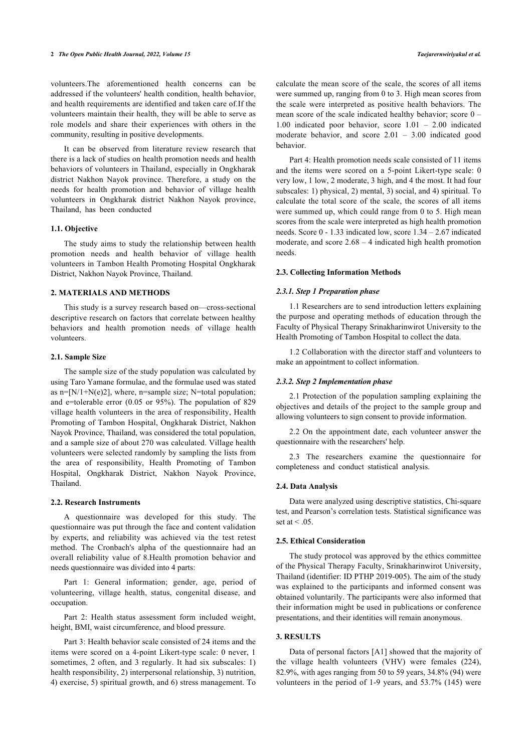volunteers.The aforementioned health concerns can be addressed if the volunteers' health condition, health behavior, and health requirements are identified and taken care of.If the volunteers maintain their health, they will be able to serve as role models and share their experiences with others in the community, resulting in positive developments.

It can be observed from literature review research that there is a lack of studies on health promotion needs and health behaviors of volunteers in Thailand, especially in Ongkharak district Nakhon Nayok province. Therefore, a study on the needs for health promotion and behavior of village health volunteers in Ongkharak district Nakhon Nayok province, Thailand, has been conducted

# **1.1. Objective**

The study aims to study the relationship between health promotion needs and health behavior of village health volunteers in Tambon Health Promoting Hospital Ongkharak District, Nakhon Nayok Province, Thailand.

#### **2. MATERIALS AND METHODS**

This study is a survey research based on—cross-sectional descriptive research on factors that correlate between healthy behaviors and health promotion needs of village health volunteers.

## **2.1. Sample Size**

The sample size of the study population was calculated by using Taro Yamane formulae, and the formulae used was stated as  $n=[N/1+N(e)2]$ , where,  $n=$ sample size; N=total population; and e=tolerable error (0.05 or 95%). The population of 829 village health volunteers in the area of responsibility, Health Promoting of Tambon Hospital, Ongkharak District, Nakhon Nayok Province, Thailand, was considered the total population, and a sample size of about 270 was calculated. Village health volunteers were selected randomly by sampling the lists from the area of responsibility, Health Promoting of Tambon Hospital, Ongkharak District, Nakhon Nayok Province, Thailand.

#### **2.2. Research Instruments**

A questionnaire was developed for this study. The questionnaire was put through the face and content validation by experts, and reliability was achieved via the test retest method. The Cronbach's alpha of the questionnaire had an overall reliability value of 8.Health promotion behavior and needs questionnaire was divided into 4 parts:

Part 1: General information; gender, age, period of volunteering, village health, status, congenital disease, and occupation.

Part 2: Health status assessment form included weight, height, BMI, waist circumference, and blood pressure.

Part 3: Health behavior scale consisted of 24 items and the items were scored on a 4-point Likert-type scale: 0 never, 1 sometimes, 2 often, and 3 regularly. It had six subscales: 1) health responsibility, 2) interpersonal relationship, 3) nutrition, 4) exercise, 5) spiritual growth, and 6) stress management. To calculate the mean score of the scale, the scores of all items were summed up, ranging from 0 to 3. High mean scores from the scale were interpreted as positive health behaviors. The mean score of the scale indicated healthy behavior; score 0 – 1.00 indicated poor behavior, score 1.01 – 2.00 indicated moderate behavior, and score 2.01 – 3.00 indicated good behavior.

Part 4: Health promotion needs scale consisted of 11 items and the items were scored on a 5-point Likert-type scale: 0 very low, 1 low, 2 moderate, 3 high, and 4 the most. It had four subscales: 1) physical, 2) mental, 3) social, and 4) spiritual. To calculate the total score of the scale, the scores of all items were summed up, which could range from 0 to 5. High mean scores from the scale were interpreted as high health promotion needs. Score 0 - 1.33 indicated low, score 1.34 – 2.67 indicated moderate, and score 2.68 – 4 indicated high health promotion needs.

#### **2.3. Collecting Information Methods**

#### *2.3.1. Step 1 Preparation phase*

1.1 Researchers are to send introduction letters explaining the purpose and operating methods of education through the Faculty of Physical Therapy Srinakharinwirot University to the Health Promoting of Tambon Hospital to collect the data.

1.2 Collaboration with the director staff and volunteers to make an appointment to collect information.

#### *2.3.2. Step 2 Implementation phase*

2.1 Protection of the population sampling explaining the objectives and details of the project to the sample group and allowing volunteers to sign consent to provide information.

2.2 On the appointment date, each volunteer answer the questionnaire with the researchers' help.

2.3 The researchers examine the questionnaire for completeness and conduct statistical analysis.

# **2.4. Data Analysis**

Data were analyzed using descriptive statistics, Chi-square test, and Pearson's correlation tests. Statistical significance was set at  $\leq$  .05.

#### **2.5. Ethical Consideration**

The study protocol was approved by the ethics committee of the Physical Therapy Faculty, Srinakharinwirot University, Thailand (identifier: ID PTHP 2019-005). The aim of the study was explained to the participants and informed consent was obtained voluntarily. The participants were also informed that their information might be used in publications or conference presentations, and their identities will remain anonymous.

# **3. RESULTS**

Data of personal factors [A1] showed that the majority of the village health volunteers (VHV) were females (224), 82.9%, with ages ranging from 50 to 59 years, 34.8% (94) were volunteers in the period of 1-9 years, and 53.7% (145) were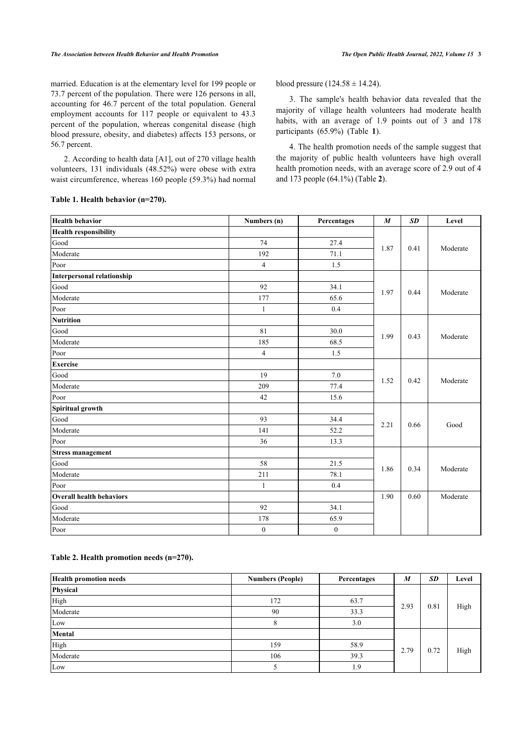married. Education is at the elementary level for 199 people or 73.7 percent of the population. There were 126 persons in all, accounting for 46.7 percent of the total population. General employment accounts for 117 people or equivalent to 43.3 percent of the population, whereas congenital disease (high blood pressure, obesity, and diabetes) affects 153 persons, or 56.7 percent.

2. According to health data [A1], out of 270 village health volunteers, 131 individuals (48.52%) were obese with extra waist circumference, whereas 160 people (59.3%) had normal blood pressure  $(124.58 \pm 14.24)$ .

3. The sample's health behavior data revealed that the majority of village health volunteers had moderate health habits, with an average of 1.9 points out of 3 and 178 participants (65.9%) (Table**1**).

4. The health promotion needs of the sample suggest that the majority of public health volunteers have high overall health promotion needs, with [an](#page-2-1) average score of 2.9 out of 4 and 173 people (64.1%) (Table **2**).

| Health behavior                 | Numbers (n)    | Percentages  | $\boldsymbol{M}$ | <b>SD</b> | Level    |  |
|---------------------------------|----------------|--------------|------------------|-----------|----------|--|
| <b>Health responsibility</b>    |                |              |                  |           |          |  |
| Good                            | 74             | 27.4         | 1.87             | 0.41      | Moderate |  |
| Moderate                        | 192            | 71.1         |                  |           |          |  |
| Poor                            | $\overline{4}$ | 1.5          |                  |           |          |  |
| Interpersonal relationship      |                |              |                  | 0.44      | Moderate |  |
| Good                            | 92             | 34.1         | 1.97             |           |          |  |
| Moderate                        | 177            | 65.6         |                  |           |          |  |
| Poor                            | $\mathbf{1}$   | 0.4          |                  |           |          |  |
| Nutrition                       |                |              |                  |           |          |  |
| Good                            | 81             | 30.0         | 1.99             | 0.43      | Moderate |  |
| Moderate                        | 185            | 68.5         |                  |           |          |  |
| Poor                            | 4              | 1.5          |                  |           |          |  |
| <b>Exercise</b>                 |                |              |                  |           | Moderate |  |
| Good                            | 19             | 7.0          | 1.52             | 0.42      |          |  |
| Moderate                        | 209            | 77.4         |                  |           |          |  |
| Poor                            | 42             | 15.6         |                  |           |          |  |
| Spiritual growth                |                |              |                  |           |          |  |
| Good                            | 93             | 34.4         | 2.21             | 0.66      | Good     |  |
| Moderate                        | 141            | 52.2         |                  |           |          |  |
| Poor                            | 36             | 13.3         |                  |           |          |  |
| <b>Stress management</b>        |                |              |                  | 0.34      |          |  |
| Good                            | 58             | 21.5         | 1.86             |           | Moderate |  |
| Moderate                        | 211            | 78.1         |                  |           |          |  |
| Poor                            | $\mathbf{1}$   | 0.4          |                  |           |          |  |
| <b>Overall health behaviors</b> |                |              | 1.90             | 0.60      | Moderate |  |
| Good                            | 92             | 34.1         |                  |           |          |  |
| Moderate                        | 178            | 65.9         |                  |           |          |  |
| Poor                            | $\overline{0}$ | $\mathbf{0}$ |                  |           |          |  |

# <span id="page-2-0"></span>**Table 1. Health behavior (n=270).**

# <span id="page-2-1"></span>**Table 2. Health promotion needs (n=270).**

| <b>Health promotion needs</b> | <b>Numbers (People)</b> | Percentages | M    | SD   | Level |
|-------------------------------|-------------------------|-------------|------|------|-------|
| Physical                      |                         |             |      |      |       |
| High                          | 172                     | 63.7        | 2.93 | 0.81 | High  |
| Moderate                      | 90                      | 33.3        |      |      |       |
| Low                           |                         | 3.0         |      |      |       |
| Mental                        |                         |             |      |      |       |
| High                          | 159                     | 58.9        | 2.79 | 0.72 | High  |
| Moderate                      | 106                     | 39.3        |      |      |       |
| Low                           |                         | 1.9         |      |      |       |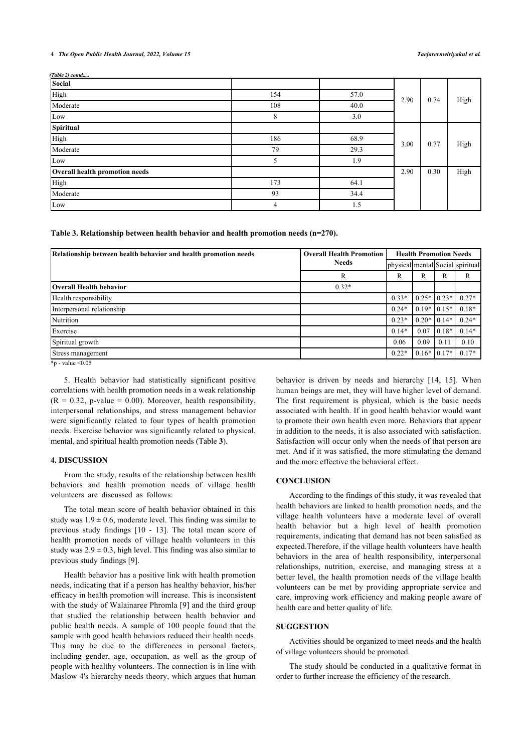#### **4** *The Open Public Health Journal, 2022, Volume 15 Taejarernwiriyakul et al.*

*(Table 2) contd.....*

| Social                         |     |      |      |      |      |
|--------------------------------|-----|------|------|------|------|
| High                           | 154 | 57.0 |      |      |      |
| Moderate                       | 108 | 40.0 | 2.90 | 0.74 | High |
| Low                            | 8   | 3.0  |      |      |      |
| Spiritual                      |     |      |      |      |      |
| High                           | 186 | 68.9 | 3.00 | 0.77 |      |
| Moderate                       | 79  | 29.3 |      |      | High |
| Low                            | 5   | 1.9  |      |      |      |
| Overall health promotion needs |     |      | 2.90 | 0.30 | High |
| High                           | 173 | 64.1 |      |      |      |
| Moderate                       | 93  | 34.4 |      |      |      |
| Low                            | 4   | 1.5  |      |      |      |

<span id="page-3-0"></span>**Table 3. Relationship between health behavior and health promotion needs (n=270).**

| Relationship between health behavior and health promotion needs | <b>Overall Health Promotion</b> | <b>Health Promotion Needs</b>    |         |         |         |
|-----------------------------------------------------------------|---------------------------------|----------------------------------|---------|---------|---------|
|                                                                 | <b>Needs</b>                    | physical mental Social spiritual |         |         |         |
|                                                                 | R                               | R                                | R       | R       | R       |
| Overall Health behavior                                         | $0.32*$                         |                                  |         |         |         |
| Health responsibility                                           |                                 | $0.33*$                          | $0.25*$ | $0.23*$ | $0.27*$ |
| Interpersonal relationship                                      |                                 | $0.24*$                          | $0.19*$ | $0.15*$ | $0.18*$ |
| Nutrition                                                       |                                 | $0.23*$                          | $0.20*$ | $0.14*$ | $0.24*$ |
| Exercise                                                        |                                 | $0.14*$                          | 0.07    | $0.18*$ | $0.14*$ |
| Spiritual growth                                                |                                 | 0.06                             | 0.09    | 0.11    | 0.10    |
| Stress management                                               |                                 | $0.22*$                          | $0.16*$ | $0.17*$ | $0.17*$ |

 $*$ p - value < $0.05$ 

5. Health behavior had statistically significant positive correlations with health promotion needs in a weak relationship  $(R = 0.32, p-value = 0.00)$ . Moreover, health responsibility, interpersonal relationships, and stress management behavior were significantly related to four types of health promotion needs. Exercise behavior was significantly related to physical, mental, and spiritual health promotion needs (Table **[3](#page-3-0)**).

#### **4. DISCUSSION**

From the study, results of the relationship between health behaviors and health promotion needs of village health volunteers are discussed as follows:

The total mean score of health behavior obtained in this study was  $1.9 \pm 0.6$ , moderate level. This finding was similar to previous study findings[[10](#page-4-4) - [13](#page-4-5)]. The total mean score of health promotion needs of village health volunteers in this study was  $2.9 \pm 0.3$ , high level. This finding was also similar to previous study findings [\[9\]](#page-4-3).

Health behavior has a positive link with health promotion needs, indicating that if a person has healthy behavior, his/her efficacy in health promotion will increase. This is inconsistent with the study of Walainaree Phromla [\[9](#page-4-3)] and the third group that studied the relationship between health behavior and public health needs. A sample of 100 people found that the sample with good health behaviors reduced their health needs. This may be due to the differences in personal factors, including gender, age, occupation, as well as the group of people with healthy volunteers. The connection is in line with Maslow 4's hierarchy needs theory, which argues that human

behavior is driven by needs and hierarchy[[14](#page-4-6), [15](#page-4-7)]. When human beings are met, they will have higher level of demand. The first requirement is physical, which is the basic needs associated with health. If in good health behavior would want to promote their own health even more. Behaviors that appear in addition to the needs, it is also associated with satisfaction. Satisfaction will occur only when the needs of that person are met. And if it was satisfied, the more stimulating the demand and the more effective the behavioral effect.

#### **CONCLUSION**

According to the findings of this study, it was revealed that health behaviors are linked to health promotion needs, and the village health volunteers have a moderate level of overall health behavior but a high level of health promotion requirements, indicating that demand has not been satisfied as expected.Therefore, if the village health volunteers have health behaviors in the area of health responsibility, interpersonal relationships, nutrition, exercise, and managing stress at a better level, the health promotion needs of the village health volunteers can be met by providing appropriate service and care, improving work efficiency and making people aware of health care and better quality of life.

# **SUGGESTION**

Activities should be organized to meet needs and the health of village volunteers should be promoted.

The study should be conducted in a qualitative format in order to further increase the efficiency of the research.